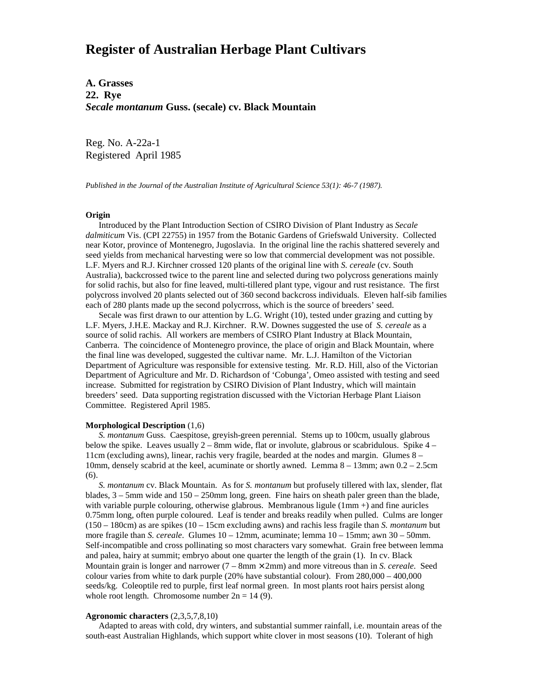# **Register of Australian Herbage Plant Cultivars**

**A. Grasses 22. Rye** *Secale montanum* **Guss. (secale) cv. Black Mountain**

Reg. No. A-22a-1 Registered April 1985

*Published in the Journal of the Australian Institute of Agricultural Science 53(1): 46-7 (1987).*

### **Origin**

 Introduced by the Plant Introduction Section of CSIRO Division of Plant Industry as *Secale dalmiticum* Vis. (CPI 22755) in 1957 from the Botanic Gardens of Griefswald University. Collected near Kotor, province of Montenegro, Jugoslavia. In the original line the rachis shattered severely and seed yields from mechanical harvesting were so low that commercial development was not possible. L.F. Myers and R.J. Kirchner crossed 120 plants of the original line with *S. cereale* (cv. South Australia), backcrossed twice to the parent line and selected during two polycross generations mainly for solid rachis, but also for fine leaved, multi-tillered plant type, vigour and rust resistance. The first polycross involved 20 plants selected out of 360 second backcross individuals. Eleven half-sib families each of 280 plants made up the second polycrross, which is the source of breeders' seed.

 Secale was first drawn to our attention by L.G. Wright (10), tested under grazing and cutting by L.F. Myers, J.H.E. Mackay and R.J. Kirchner. R.W. Downes suggested the use of *S. cereale* as a source of solid rachis. All workers are members of CSIRO Plant Industry at Black Mountain, Canberra. The coincidence of Montenegro province, the place of origin and Black Mountain, where the final line was developed, suggested the cultivar name. Mr. L.J. Hamilton of the Victorian Department of Agriculture was responsible for extensive testing. Mr. R.D. Hill, also of the Victorian Department of Agriculture and Mr. D. Richardson of 'Cobunga', Omeo assisted with testing and seed increase. Submitted for registration by CSIRO Division of Plant Industry, which will maintain breeders' seed. Data supporting registration discussed with the Victorian Herbage Plant Liaison Committee. Registered April 1985.

#### **Morphological Description** (1,6)

 *S. montanum* Guss. Caespitose, greyish-green perennial. Stems up to 100cm, usually glabrous below the spike. Leaves usually  $2 - 8$ mm wide, flat or involute, glabrous or scabridulous. Spike  $4 -$ 11cm (excluding awns), linear, rachis very fragile, bearded at the nodes and margin. Glumes 8 – 10mm, densely scabrid at the keel, acuminate or shortly awned. Lemma 8 – 13mm; awn 0.2 – 2.5cm (6).

 *S. montanum* cv. Black Mountain. As for *S. montanum* but profusely tillered with lax, slender, flat blades,  $3 - 5$ mm wide and  $150 - 250$ mm long, green. Fine hairs on sheath paler green than the blade, with variable purple colouring, otherwise glabrous. Membranous ligule  $(1 \text{mm} +)$  and fine auricles 0.75mm long, often purple coloured. Leaf is tender and breaks readily when pulled. Culms are longer (150 – 180cm) as are spikes (10 – 15cm excluding awns) and rachis less fragile than *S. montanum* but more fragile than *S. cereale*. Glumes 10 – 12mm, acuminate; lemma 10 – 15mm; awn 30 – 50mm. Self-incompatible and cross pollinating so most characters vary somewhat. Grain free between lemma and palea, hairy at summit; embryo about one quarter the length of the grain (1). In cv. Black Mountain grain is longer and narrower (7 – 8mm × 2mm) and more vitreous than in *S. cereale*. Seed colour varies from white to dark purple (20% have substantial colour). From 280,000 – 400,000 seeds/kg. Coleoptile red to purple, first leaf normal green. In most plants root hairs persist along whole root length. Chromosome number  $2n = 14 (9)$ .

## **Agronomic characters** (2,3,5,7,8,10)

 Adapted to areas with cold, dry winters, and substantial summer rainfall, i.e. mountain areas of the south-east Australian Highlands, which support white clover in most seasons (10). Tolerant of high